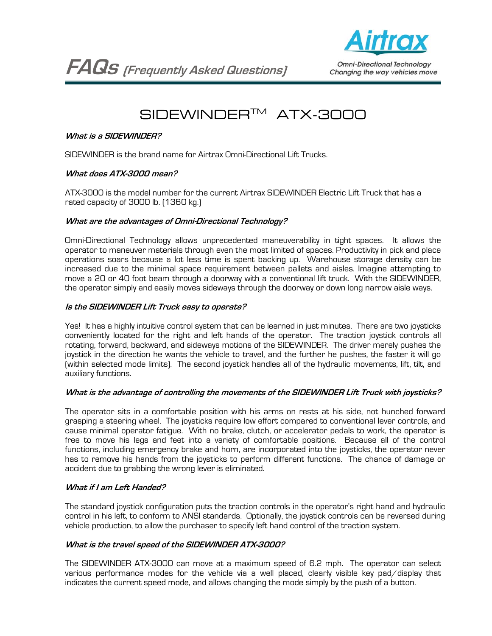**FAQs (Frequently Asked Questions)**



**Omni-Directional Technology** Changing the way vehicles move

# SIDEWINDERTM ATX-3000

# **What is a SIDEWINDER?**

SIDEWINDER is the brand name for Airtrax Omni-Directional Lift Trucks.

# **What does ATX-3000 mean?**

ATX-3000 is the model number for the current Airtrax SIDEWINDER Electric Lift Truck that has a rated capacity of 3000 lb. (1360 kg.)

# **What are the advantages of Omni-Directional Technology?**

Omni-Directional Technology allows unprecedented maneuverability in tight spaces. It allows the operator to maneuver materials through even the most limited of spaces. Productivity in pick and place operations soars because a lot less time is spent backing up. Warehouse storage density can be increased due to the minimal space requirement between pallets and aisles. Imagine attempting to move a 20 or 40 foot beam through a doorway with a conventional lift truck. With the SIDEWINDER, the operator simply and easily moves sideways through the doorway or down long narrow aisle ways.

# **Is the SIDEWINDER Lift Truck easy to operate?**

Yes! It has a highly intuitive control system that can be learned in just minutes. There are two joysticks conveniently located for the right and left hands of the operator. The traction joystick controls all rotating, forward, backward, and sideways motions of the SIDEWINDER. The driver merely pushes the joystick in the direction he wants the vehicle to travel, and the further he pushes, the faster it will go (within selected mode limits). The second joystick handles all of the hydraulic movements, lift, tilt, and auxiliary functions.

# **What is the advantage of controlling the movements of the SIDEWINDER Lift Truck with joysticks?**

The operator sits in a comfortable position with his arms on rests at his side, not hunched forward grasping a steering wheel. The joysticks require low effort compared to conventional lever controls, and cause minimal operator fatigue. With no brake, clutch, or accelerator pedals to work, the operator is free to move his legs and feet into a variety of comfortable positions. Because all of the control functions, including emergency brake and horn, are incorporated into the joysticks, the operator never has to remove his hands from the joysticks to perform different functions. The chance of damage or accident due to grabbing the wrong lever is eliminated.

# **What if I am Left Handed?**

The standard joystick configuration puts the traction controls in the operator's right hand and hydraulic control in his left, to conform to ANSI standards. Optionally, the joystick controls can be reversed during vehicle production, to allow the purchaser to specify left hand control of the traction system.

#### **What is the travel speed of the SIDEWINDER ATX-3000?**

The SIDEWINDER ATX-3000 can move at a maximum speed of 6.2 mph. The operator can select various performance modes for the vehicle via a well placed, clearly visible key pad/display that indicates the current speed mode, and allows changing the mode simply by the push of a button.